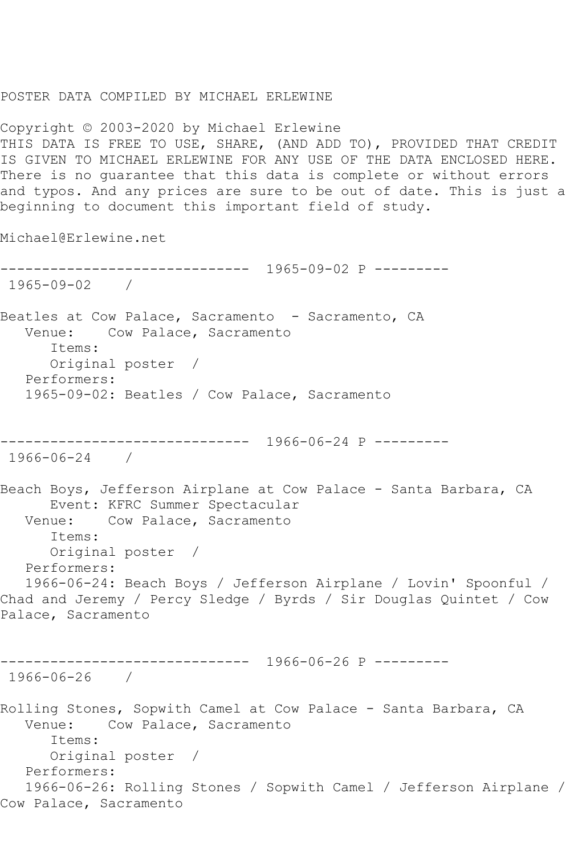POSTER DATA COMPILED BY MICHAEL ERLEWINE

Copyright © 2003-2020 by Michael Erlewine THIS DATA IS FREE TO USE, SHARE, (AND ADD TO), PROVIDED THAT CREDIT IS GIVEN TO MICHAEL ERLEWINE FOR ANY USE OF THE DATA ENCLOSED HERE. There is no guarantee that this data is complete or without errors and typos. And any prices are sure to be out of date. This is just a beginning to document this important field of study.

Michael@Erlewine.net

------------------------------ 1965-09-02 P --------- 1965-09-02 / Beatles at Cow Palace, Sacramento - Sacramento, CA Venue: Cow Palace, Sacramento Items: Original poster / Performers: 1965-09-02: Beatles / Cow Palace, Sacramento ------------------------------ 1966-06-24 P --------- 1966-06-24 / Beach Boys, Jefferson Airplane at Cow Palace - Santa Barbara, CA Event: KFRC Summer Spectacular Venue: Cow Palace, Sacramento Items: Original poster / Performers: 1966-06-24: Beach Boys / Jefferson Airplane / Lovin' Spoonful / Chad and Jeremy / Percy Sledge / Byrds / Sir Douglas Quintet / Cow Palace, Sacramento ------------------------------ 1966-06-26 P --------- 1966-06-26 / Rolling Stones, Sopwith Camel at Cow Palace - Santa Barbara, CA Venue: Cow Palace, Sacramento Items: Original poster / Performers: 1966-06-26: Rolling Stones / Sopwith Camel / Jefferson Airplane / Cow Palace, Sacramento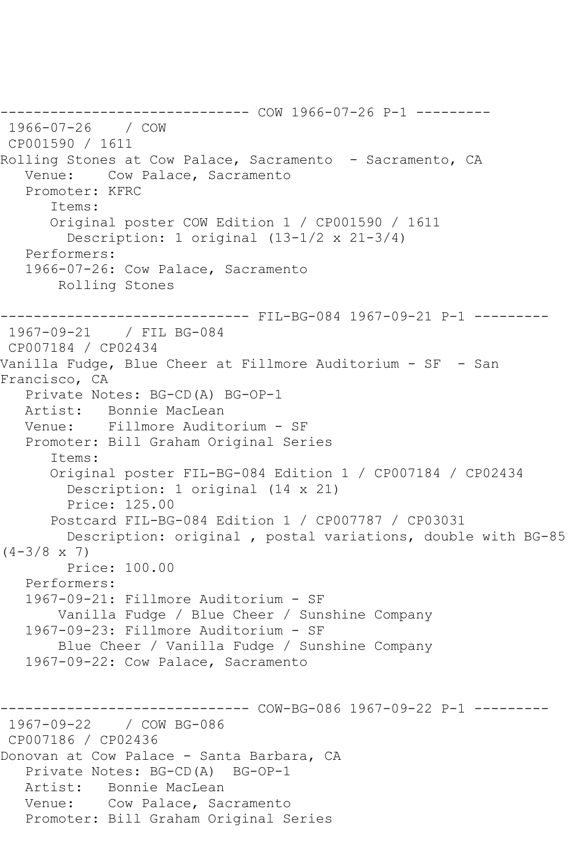------------------------------ COW 1966-07-26 P-1 --------- 1966-07-26 / COW CP001590 / 1611 Rolling Stones at Cow Palace, Sacramento - Sacramento, CA Venue: Cow Palace, Sacramento Promoter: KFRC Items: Original poster COW Edition 1 / CP001590 / 1611 Description: 1 original (13-1/2 x 21-3/4) Performers: 1966-07-26: Cow Palace, Sacramento Rolling Stones ------------------------------ FIL-BG-084 1967-09-21 P-1 --------- 1967-09-21 / FIL BG-084 CP007184 / CP02434 Vanilla Fudge, Blue Cheer at Fillmore Auditorium - SF - San Francisco, CA Private Notes: BG-CD(A) BG-OP-1 Artist: Bonnie MacLean Venue: Fillmore Auditorium - SF Promoter: Bill Graham Original Series Items: Original poster FIL-BG-084 Edition 1 / CP007184 / CP02434 Description: 1 original (14 x 21) Price: 125.00 Postcard FIL-BG-084 Edition 1 / CP007787 / CP03031 Description: original , postal variations, double with BG-85  $(4-3/8 \times 7)$  Price: 100.00 Performers: 1967-09-21: Fillmore Auditorium - SF Vanilla Fudge / Blue Cheer / Sunshine Company 1967-09-23: Fillmore Auditorium - SF Blue Cheer / Vanilla Fudge / Sunshine Company 1967-09-22: Cow Palace, Sacramento ------------------------------ COW-BG-086 1967-09-22 P-1 --------- 1967-09-22 / COW BG-086 CP007186 / CP02436 Donovan at Cow Palace - Santa Barbara, CA Private Notes: BG-CD(A) BG-OP-1 Artist: Bonnie MacLean Venue: Cow Palace, Sacramento Promoter: Bill Graham Original Series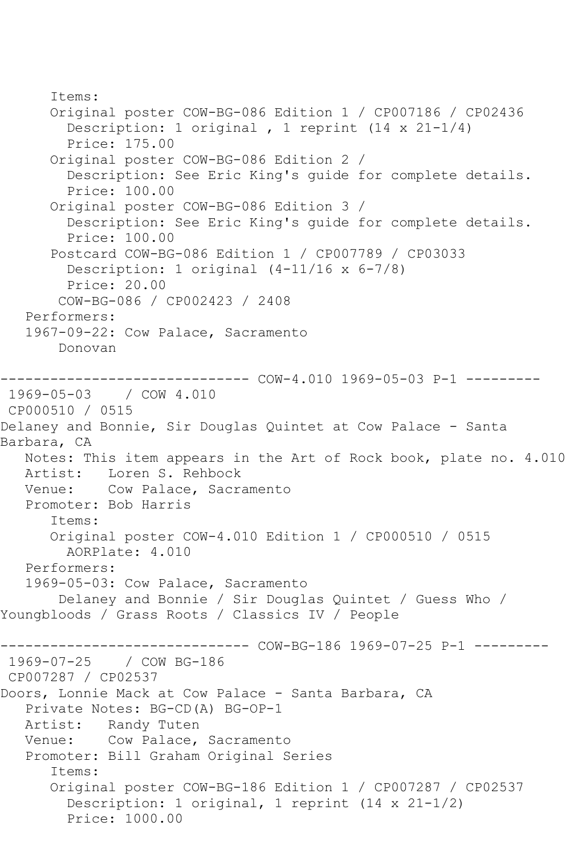Items: Original poster COW-BG-086 Edition 1 / CP007186 / CP02436 Description: 1 original , 1 reprint (14 x 21-1/4) Price: 175.00 Original poster COW-BG-086 Edition 2 / Description: See Eric King's guide for complete details. Price: 100.00 Original poster COW-BG-086 Edition 3 / Description: See Eric King's guide for complete details. Price: 100.00 Postcard COW-BG-086 Edition 1 / CP007789 / CP03033 Description: 1 original (4-11/16 x 6-7/8) Price: 20.00 COW-BG-086 / CP002423 / 2408 Performers: 1967-09-22: Cow Palace, Sacramento Donovan --------- COW-4.010 1969-05-03 P-1 ---------1969-05-03 / COW 4.010 CP000510 / 0515 Delaney and Bonnie, Sir Douglas Quintet at Cow Palace - Santa Barbara, CA Notes: This item appears in the Art of Rock book, plate no. 4.010 Artist: Loren S. Rehbock<br>Venue: Cow Palace, Sacra Cow Palace, Sacramento Promoter: Bob Harris Items: Original poster COW-4.010 Edition 1 / CP000510 / 0515 AORPlate: 4.010 Performers: 1969-05-03: Cow Palace, Sacramento Delaney and Bonnie / Sir Douglas Quintet / Guess Who / Youngbloods / Grass Roots / Classics IV / People ------------------------------ COW-BG-186 1969-07-25 P-1 --------- 1969-07-25 / COW BG-186 CP007287 / CP02537 Doors, Lonnie Mack at Cow Palace - Santa Barbara, CA Private Notes: BG-CD(A) BG-OP-1 Artist: Randy Tuten Venue: Cow Palace, Sacramento Promoter: Bill Graham Original Series Items: Original poster COW-BG-186 Edition 1 / CP007287 / CP02537 Description: 1 original, 1 reprint (14 x 21-1/2) Price: 1000.00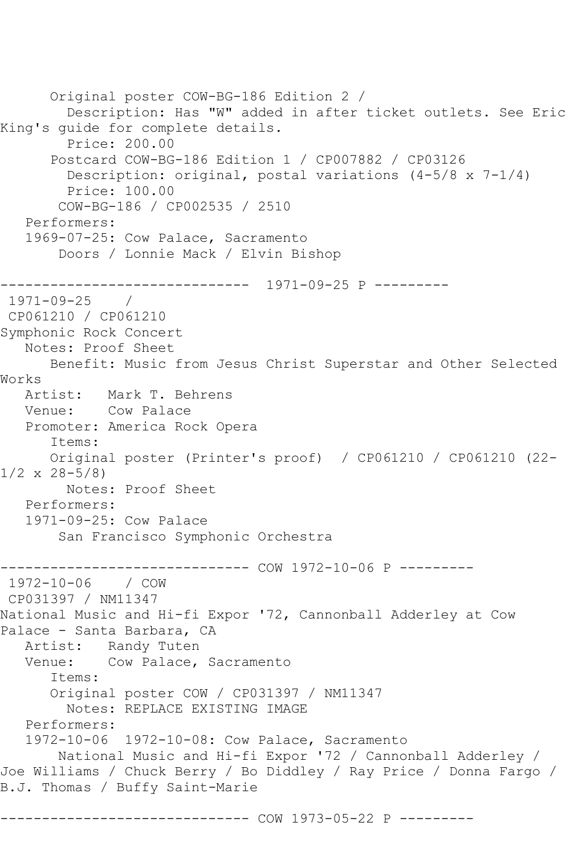Original poster COW-BG-186 Edition 2 / Description: Has "W" added in after ticket outlets. See Eric King's guide for complete details. Price: 200.00 Postcard COW-BG-186 Edition 1 / CP007882 / CP03126 Description: original, postal variations  $(4-5/8 \times 7-1/4)$  Price: 100.00 COW-BG-186 / CP002535 / 2510 Performers: 1969-07-25: Cow Palace, Sacramento Doors / Lonnie Mack / Elvin Bishop ------------------------------ 1971-09-25 P --------- 1971-09-25 / CP061210 / CP061210 Symphonic Rock Concert Notes: Proof Sheet Benefit: Music from Jesus Christ Superstar and Other Selected Works Artist: Mark T. Behrens Venue: Cow Palace Promoter: America Rock Opera Items: Original poster (Printer's proof) / CP061210 / CP061210 (22- 1/2 x 28-5/8) Notes: Proof Sheet Performers: 1971-09-25: Cow Palace San Francisco Symphonic Orchestra ----------- COW 1972-10-06 P ---------1972-10-06 / COW CP031397 / NM11347 National Music and Hi-fi Expor '72, Cannonball Adderley at Cow Palace - Santa Barbara, CA Artist: Randy Tuten Venue: Cow Palace, Sacramento Items: Original poster COW / CP031397 / NM11347 Notes: REPLACE EXISTING IMAGE Performers: 1972-10-06 1972-10-08: Cow Palace, Sacramento National Music and Hi-fi Expor '72 / Cannonball Adderley / Joe Williams / Chuck Berry / Bo Diddley / Ray Price / Donna Fargo / B.J. Thomas / Buffy Saint-Marie --------- COW 1973-05-22 P ---------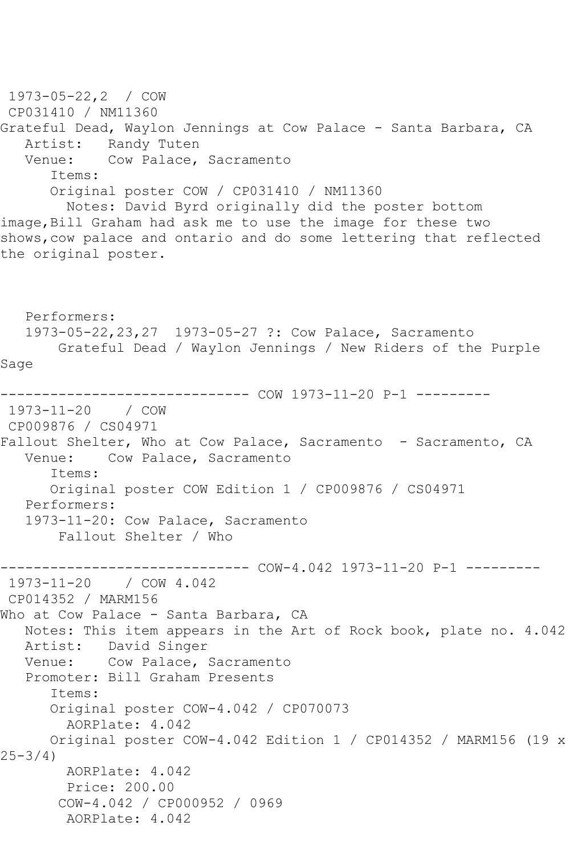1973-05-22,2 / COW CP031410 / NM11360 Grateful Dead, Waylon Jennings at Cow Palace - Santa Barbara, CA Artist: Randy Tuten<br>Venue: Cow Palace. Cow Palace, Sacramento Items: Original poster COW / CP031410 / NM11360 Notes: David Byrd originally did the poster bottom image,Bill Graham had ask me to use the image for these two shows,cow palace and ontario and do some lettering that reflected the original poster. Performers: 1973-05-22,23,27 1973-05-27 ?: Cow Palace, Sacramento Grateful Dead / Waylon Jennings / New Riders of the Purple Sage ------------------------------ COW 1973-11-20 P-1 --------- 1973-11-20 / COW CP009876 / CS04971 Fallout Shelter, Who at Cow Palace, Sacramento - Sacramento, CA<br>Venue: Cow Palace, Sacramento Cow Palace, Sacramento Items: Original poster COW Edition 1 / CP009876 / CS04971 Performers: 1973-11-20: Cow Palace, Sacramento Fallout Shelter / Who ------------------------------ COW-4.042 1973-11-20 P-1 --------- 1973-11-20 / COW 4.042 CP014352 / MARM156 Who at Cow Palace - Santa Barbara, CA Notes: This item appears in the Art of Rock book, plate no. 4.042 Artist: David Singer Venue: Cow Palace, Sacramento Promoter: Bill Graham Presents Items: Original poster COW-4.042 / CP070073 AORPlate: 4.042 Original poster COW-4.042 Edition 1 / CP014352 / MARM156 (19 x  $25 - 3/4$  AORPlate: 4.042 Price: 200.00 COW-4.042 / CP000952 / 0969 AORPlate: 4.042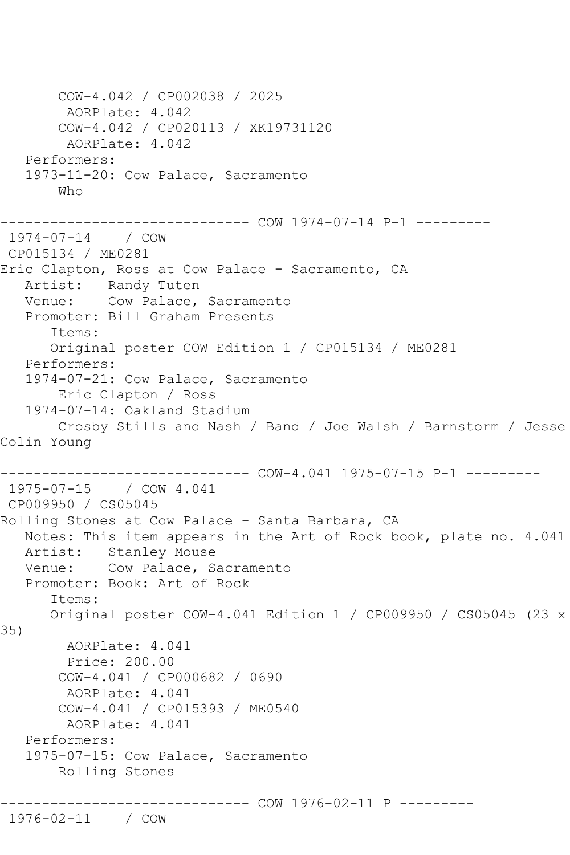COW-4.042 / CP002038 / 2025 AORPlate: 4.042 COW-4.042 / CP020113 / XK19731120 AORPlate: 4.042 Performers: 1973-11-20: Cow Palace, Sacramento Who ------------------------------ COW 1974-07-14 P-1 --------- 1974-07-14 / COW CP015134 / ME0281 Eric Clapton, Ross at Cow Palace - Sacramento, CA Artist: Randy Tuten Venue: Cow Palace, Sacramento Promoter: Bill Graham Presents Items: Original poster COW Edition 1 / CP015134 / ME0281 Performers: 1974-07-21: Cow Palace, Sacramento Eric Clapton / Ross 1974-07-14: Oakland Stadium Crosby Stills and Nash / Band / Joe Walsh / Barnstorm / Jesse Colin Young ------------------------------ COW-4.041 1975-07-15 P-1 --------- 1975-07-15 / COW 4.041 CP009950 / CS05045 Rolling Stones at Cow Palace - Santa Barbara, CA Notes: This item appears in the Art of Rock book, plate no. 4.041 Artist: Stanley Mouse Venue: Cow Palace, Sacramento Promoter: Book: Art of Rock Items: Original poster COW-4.041 Edition 1 / CP009950 / CS05045 (23 x 35) AORPlate: 4.041 Price: 200.00 COW-4.041 / CP000682 / 0690 AORPlate: 4.041 COW-4.041 / CP015393 / ME0540 AORPlate: 4.041 Performers: 1975-07-15: Cow Palace, Sacramento Rolling Stones ------------------------------ COW 1976-02-11 P --------- 1976-02-11 / COW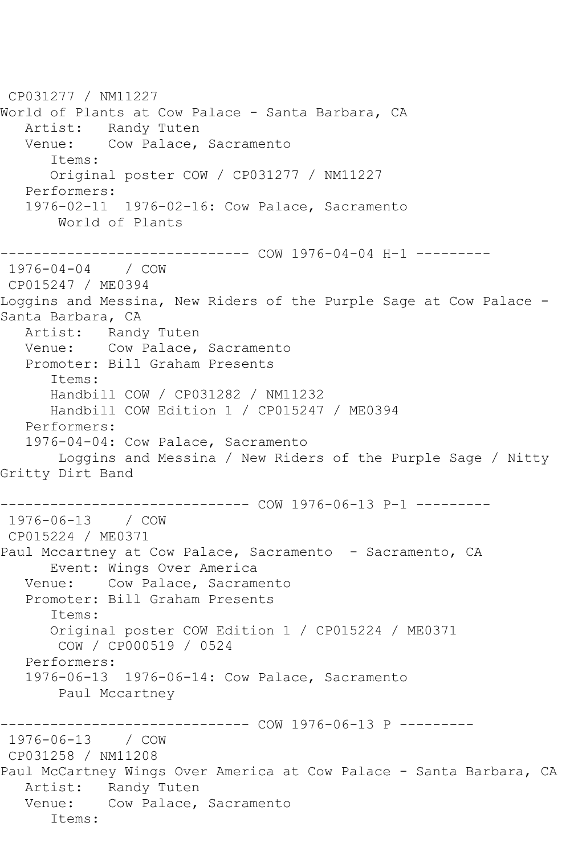CP031277 / NM11227 World of Plants at Cow Palace - Santa Barbara, CA Artist: Randy Tuten Venue: Cow Palace, Sacramento Items: Original poster COW / CP031277 / NM11227 Performers: 1976-02-11 1976-02-16: Cow Palace, Sacramento World of Plants ------------------------------ COW 1976-04-04 H-1 --------- 1976-04-04 / COW CP015247 / ME0394 Loggins and Messina, New Riders of the Purple Sage at Cow Palace - Santa Barbara, CA Artist: Randy Tuten Venue: Cow Palace, Sacramento Promoter: Bill Graham Presents Items: Handbill COW / CP031282 / NM11232 Handbill COW Edition 1 / CP015247 / ME0394 Performers: 1976-04-04: Cow Palace, Sacramento Loggins and Messina / New Riders of the Purple Sage / Nitty Gritty Dirt Band ------------------------------ COW 1976-06-13 P-1 --------- 1976-06-13 / COW CP015224 / ME0371 Paul Mccartney at Cow Palace, Sacramento - Sacramento, CA Event: Wings Over America Venue: Cow Palace, Sacramento Promoter: Bill Graham Presents Items: Original poster COW Edition 1 / CP015224 / ME0371 COW / CP000519 / 0524 Performers: 1976-06-13 1976-06-14: Cow Palace, Sacramento Paul Mccartney ------------------------------ COW 1976-06-13 P --------- 1976-06-13 / COW CP031258 / NM11208 Paul McCartney Wings Over America at Cow Palace - Santa Barbara, CA Artist: Randy Tuten Venue: Cow Palace, Sacramento Items: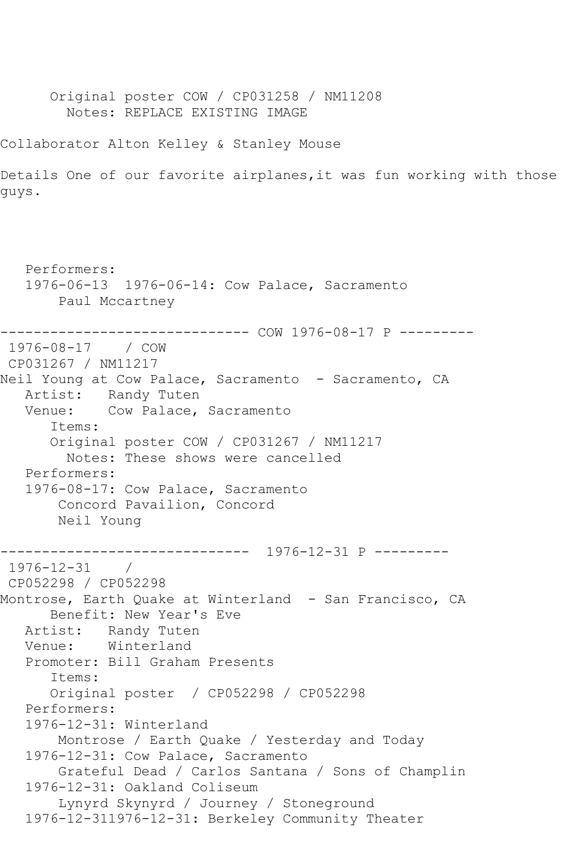Original poster COW / CP031258 / NM11208 Notes: REPLACE EXISTING IMAGE

Collaborator Alton Kelley & Stanley Mouse

Details One of our favorite airplanes,it was fun working with those guys.

 Performers: 1976-06-13 1976-06-14: Cow Palace, Sacramento Paul Mccartney ------------------------------ COW 1976-08-17 P --------- 1976-08-17 / COW CP031267 / NM11217 Neil Young at Cow Palace, Sacramento - Sacramento, CA Artist: Randy Tuten Venue: Cow Palace, Sacramento Items: Original poster COW / CP031267 / NM11217 Notes: These shows were cancelled Performers: 1976-08-17: Cow Palace, Sacramento Concord Pavailion, Concord Neil Young ------------------------------ 1976-12-31 P --------- 1976-12-31 / CP052298 / CP052298 Montrose, Earth Quake at Winterland - San Francisco, CA Benefit: New Year's Eve Artist: Randy Tuten Venue: Winterland Promoter: Bill Graham Presents Items: Original poster / CP052298 / CP052298 Performers: 1976-12-31: Winterland Montrose / Earth Quake / Yesterday and Today 1976-12-31: Cow Palace, Sacramento Grateful Dead / Carlos Santana / Sons of Champlin 1976-12-31: Oakland Coliseum Lynyrd Skynyrd / Journey / Stoneground 1976-12-311976-12-31: Berkeley Community Theater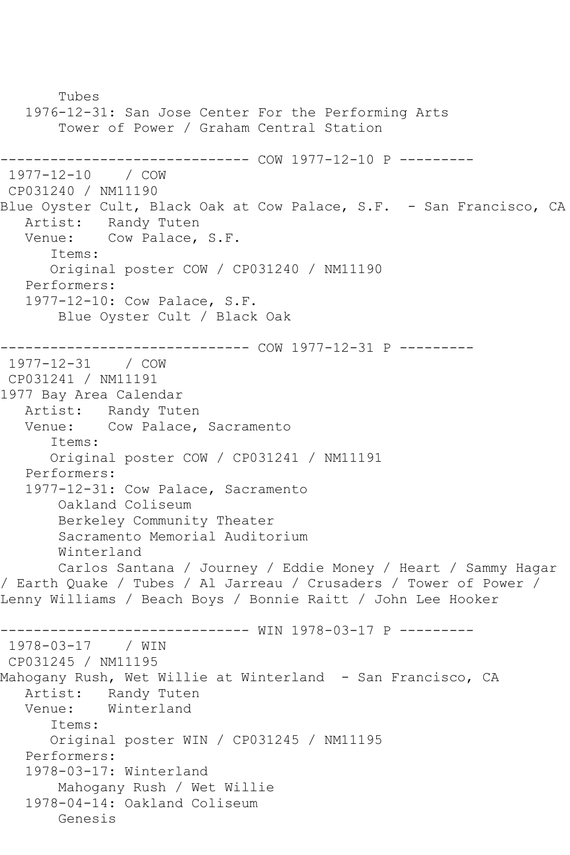Tubes 1976-12-31: San Jose Center For the Performing Arts Tower of Power / Graham Central Station ------------------------------ COW 1977-12-10 P --------- 1977-12-10 / COW CP031240 / NM11190 Blue Oyster Cult, Black Oak at Cow Palace, S.F. - San Francisco, CA Artist: Randy Tuten Venue: Cow Palace, S.F. Items: Original poster COW / CP031240 / NM11190 Performers: 1977-12-10: Cow Palace, S.F. Blue Oyster Cult / Black Oak ------------------------------ COW 1977-12-31 P --------- 1977-12-31 / COW CP031241 / NM11191 1977 Bay Area Calendar Artist: Randy Tuten Venue: Cow Palace, Sacramento Items: Original poster COW / CP031241 / NM11191 Performers: 1977-12-31: Cow Palace, Sacramento Oakland Coliseum Berkeley Community Theater Sacramento Memorial Auditorium Winterland Carlos Santana / Journey / Eddie Money / Heart / Sammy Hagar / Earth Quake / Tubes / Al Jarreau / Crusaders / Tower of Power / Lenny Williams / Beach Boys / Bonnie Raitt / John Lee Hooker ------------------------------ WIN 1978-03-17 P --------- 1978-03-17 / WIN CP031245 / NM11195 Mahogany Rush, Wet Willie at Winterland - San Francisco, CA Artist: Randy Tuten<br>Venue: Winterland Winterland Items: Original poster WIN / CP031245 / NM11195 Performers: 1978-03-17: Winterland Mahogany Rush / Wet Willie 1978-04-14: Oakland Coliseum Genesis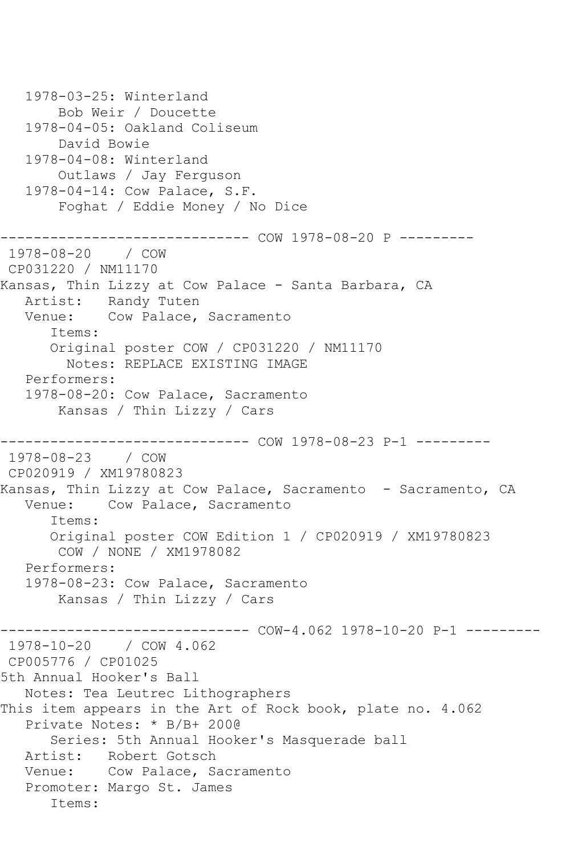```
 1978-03-25: Winterland
        Bob Weir / Doucette
    1978-04-05: Oakland Coliseum
        David Bowie
    1978-04-08: Winterland
        Outlaws / Jay Ferguson
    1978-04-14: Cow Palace, S.F.
        Foghat / Eddie Money / No Dice
------------------------------ COW 1978-08-20 P ---------
1978-08-20 / COW 
CP031220 / NM11170
Kansas, Thin Lizzy at Cow Palace - Santa Barbara, CA
   Artist: Randy Tuten
   Venue: Cow Palace, Sacramento
       Items:
       Original poster COW / CP031220 / NM11170
         Notes: REPLACE EXISTING IMAGE
   Performers:
    1978-08-20: Cow Palace, Sacramento
        Kansas / Thin Lizzy / Cars
                ------------------------------ COW 1978-08-23 P-1 ---------
1978-08-23 / COW 
CP020919 / XM19780823
Kansas, Thin Lizzy at Cow Palace, Sacramento - Sacramento, CA<br>Venue: Cow Palace, Sacramento
           Cow Palace, Sacramento
       Items:
       Original poster COW Edition 1 / CP020919 / XM19780823
        COW / NONE / XM1978082
   Performers:
    1978-08-23: Cow Palace, Sacramento
        Kansas / Thin Lizzy / Cars
                         ------- COW-4.062 1978-10-20 P-1 ---------
1978-10-20 / COW 4.062
CP005776 / CP01025
5th Annual Hooker's Ball
   Notes: Tea Leutrec Lithographers
This item appears in the Art of Rock book, plate no. 4.062
    Private Notes: * B/B+ 200@
       Series: 5th Annual Hooker's Masquerade ball
   Artist: Robert Gotsch
   Venue: Cow Palace, Sacramento
    Promoter: Margo St. James
       Items:
```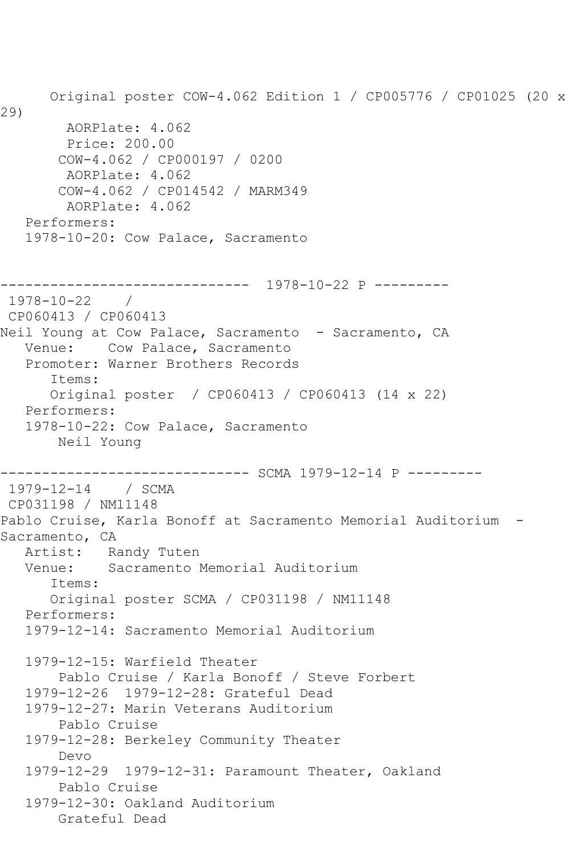Original poster COW-4.062 Edition 1 / CP005776 / CP01025 (20 x 29) AORPlate: 4.062 Price: 200.00 COW-4.062 / CP000197 / 0200 AORPlate: 4.062 COW-4.062 / CP014542 / MARM349 AORPlate: 4.062 Performers: 1978-10-20: Cow Palace, Sacramento ------------------------------ 1978-10-22 P --------- 1978-10-22 / CP060413 / CP060413 Neil Young at Cow Palace, Sacramento - Sacramento, CA Venue: Cow Palace, Sacramento Promoter: Warner Brothers Records Items: Original poster / CP060413 / CP060413 (14 x 22) Performers: 1978-10-22: Cow Palace, Sacramento Neil Young --------- SCMA 1979-12-14 P ---------1979-12-14 / SCMA CP031198 / NM11148 Pablo Cruise, Karla Bonoff at Sacramento Memorial Auditorium - Sacramento, CA Artist: Randy Tuten Venue: Sacramento Memorial Auditorium Items: Original poster SCMA / CP031198 / NM11148 Performers: 1979-12-14: Sacramento Memorial Auditorium 1979-12-15: Warfield Theater Pablo Cruise / Karla Bonoff / Steve Forbert 1979-12-26 1979-12-28: Grateful Dead 1979-12-27: Marin Veterans Auditorium Pablo Cruise 1979-12-28: Berkeley Community Theater Devo 1979-12-29 1979-12-31: Paramount Theater, Oakland Pablo Cruise 1979-12-30: Oakland Auditorium Grateful Dead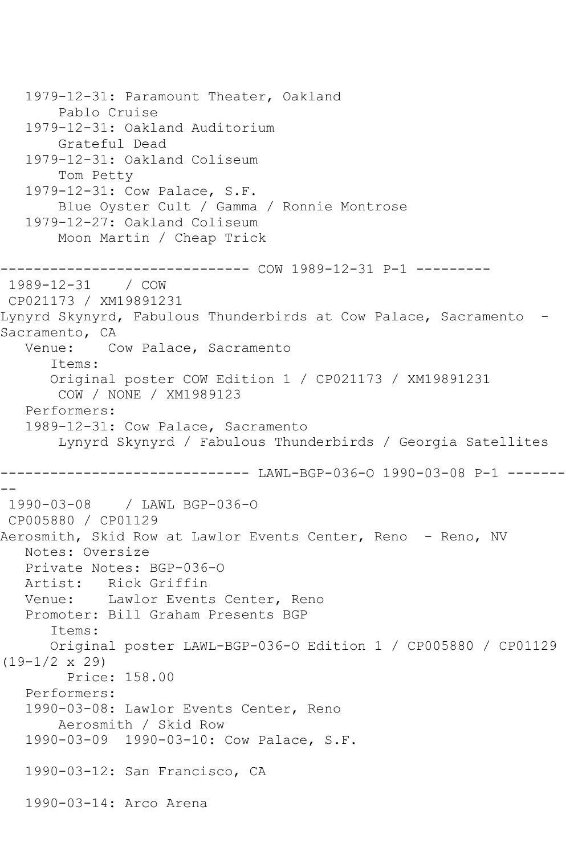1979-12-31: Paramount Theater, Oakland Pablo Cruise 1979-12-31: Oakland Auditorium Grateful Dead 1979-12-31: Oakland Coliseum Tom Petty 1979-12-31: Cow Palace, S.F. Blue Oyster Cult / Gamma / Ronnie Montrose 1979-12-27: Oakland Coliseum Moon Martin / Cheap Trick ------------ COW 1989-12-31 P-1 ---------1989-12-31 / COW CP021173 / XM19891231 Lynyrd Skynyrd, Fabulous Thunderbirds at Cow Palace, Sacramento -Sacramento, CA Venue: Cow Palace, Sacramento Items: Original poster COW Edition 1 / CP021173 / XM19891231 COW / NONE / XM1989123 Performers: 1989-12-31: Cow Palace, Sacramento Lynyrd Skynyrd / Fabulous Thunderbirds / Georgia Satellites ------------------------------ LAWL-BGP-036-O 1990-03-08 P-1 ------- -- 1990-03-08 / LAWL BGP-036-O CP005880 / CP01129 Aerosmith, Skid Row at Lawlor Events Center, Reno - Reno, NV Notes: Oversize Private Notes: BGP-036-O Artist: Rick Griffin Venue: Lawlor Events Center, Reno Promoter: Bill Graham Presents BGP Items: Original poster LAWL-BGP-036-O Edition 1 / CP005880 / CP01129 (19-1/2 x 29) Price: 158.00 Performers: 1990-03-08: Lawlor Events Center, Reno Aerosmith / Skid Row 1990-03-09 1990-03-10: Cow Palace, S.F. 1990-03-12: San Francisco, CA 1990-03-14: Arco Arena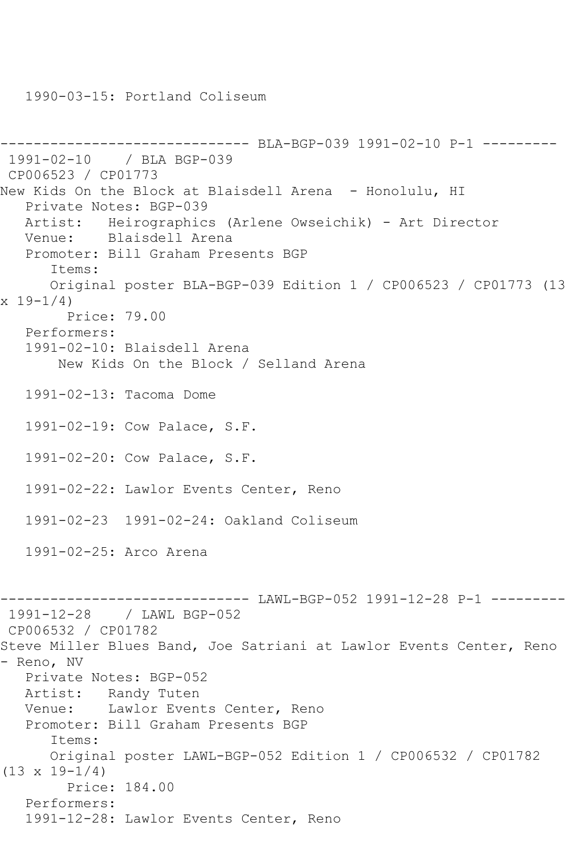1990-03-15: Portland Coliseum

```
------------------------------ BLA-BGP-039 1991-02-10 P-1 ---------
1991-02-10 / BLA BGP-039
CP006523 / CP01773
New Kids On the Block at Blaisdell Arena - Honolulu, HI
   Private Notes: BGP-039
   Artist: Heirographics (Arlene Owseichik) - Art Director
   Venue: Blaisdell Arena
   Promoter: Bill Graham Presents BGP
       Items:
      Original poster BLA-BGP-039 Edition 1 / CP006523 / CP01773 (13 
x 19 - 1/4 Price: 79.00
   Performers:
   1991-02-10: Blaisdell Arena
       New Kids On the Block / Selland Arena
   1991-02-13: Tacoma Dome
   1991-02-19: Cow Palace, S.F.
   1991-02-20: Cow Palace, S.F.
   1991-02-22: Lawlor Events Center, Reno
   1991-02-23 1991-02-24: Oakland Coliseum
   1991-02-25: Arco Arena
------------------------------ LAWL-BGP-052 1991-12-28 P-1 ---------
1991-12-28 / LAWL BGP-052
CP006532 / CP01782
Steve Miller Blues Band, Joe Satriani at Lawlor Events Center, Reno 
- Reno, NV
   Private Notes: BGP-052
   Artist: Randy Tuten
   Venue: Lawlor Events Center, Reno
   Promoter: Bill Graham Presents BGP
       Items:
      Original poster LAWL-BGP-052 Edition 1 / CP006532 / CP01782 
(13 \times 19 - 1/4) Price: 184.00
   Performers:
   1991-12-28: Lawlor Events Center, Reno
```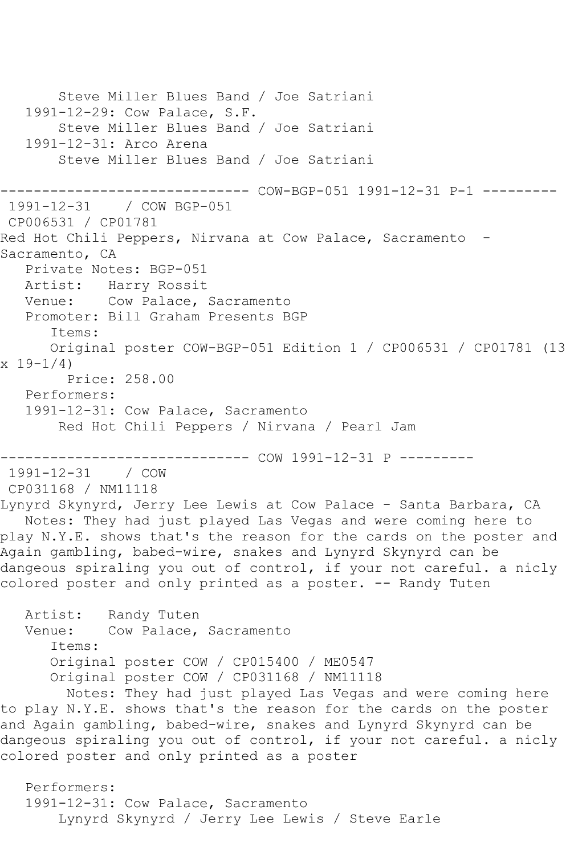Steve Miller Blues Band / Joe Satriani 1991-12-29: Cow Palace, S.F. Steve Miller Blues Band / Joe Satriani 1991-12-31: Arco Arena Steve Miller Blues Band / Joe Satriani ------------------------------ COW-BGP-051 1991-12-31 P-1 --------- 1991-12-31 / COW BGP-051 CP006531 / CP01781 Red Hot Chili Peppers, Nirvana at Cow Palace, Sacramento -Sacramento, CA Private Notes: BGP-051 Artist: Harry Rossit Venue: Cow Palace, Sacramento Promoter: Bill Graham Presents BGP Items: Original poster COW-BGP-051 Edition 1 / CP006531 / CP01781 (13 x 19-1/4) Price: 258.00 Performers: 1991-12-31: Cow Palace, Sacramento Red Hot Chili Peppers / Nirvana / Pearl Jam ------------------------------ COW 1991-12-31 P --------- 1991-12-31 / COW CP031168 / NM11118 Lynyrd Skynyrd, Jerry Lee Lewis at Cow Palace - Santa Barbara, CA Notes: They had just played Las Vegas and were coming here to play N.Y.E. shows that's the reason for the cards on the poster and Again gambling, babed-wire, snakes and Lynyrd Skynyrd can be dangeous spiraling you out of control, if your not careful. a nicly colored poster and only printed as a poster. -- Randy Tuten Artist: Randy Tuten Venue: Cow Palace, Sacramento Items: Original poster COW / CP015400 / ME0547 Original poster COW / CP031168 / NM11118 Notes: They had just played Las Vegas and were coming here to play N.Y.E. shows that's the reason for the cards on the poster and Again gambling, babed-wire, snakes and Lynyrd Skynyrd can be dangeous spiraling you out of control, if your not careful. a nicly colored poster and only printed as a poster Performers: 1991-12-31: Cow Palace, Sacramento Lynyrd Skynyrd / Jerry Lee Lewis / Steve Earle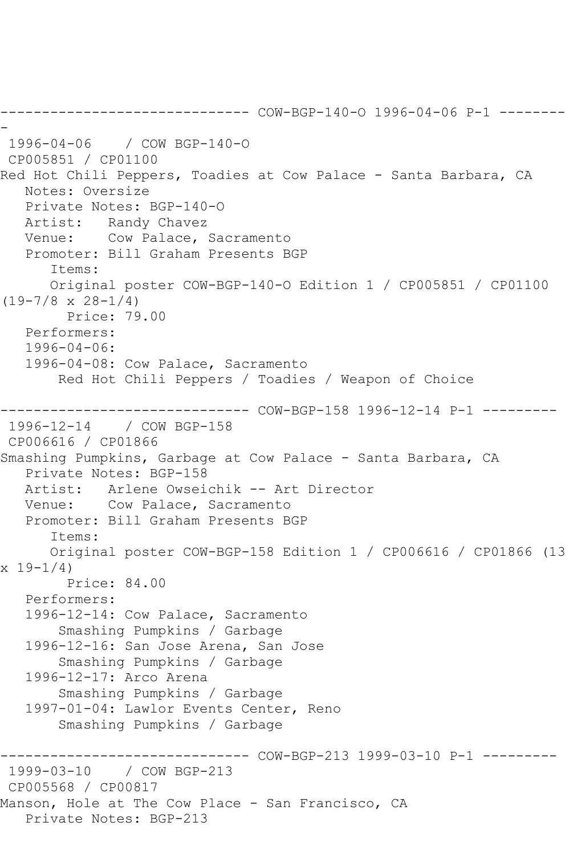------------------------------ COW-BGP-140-O 1996-04-06 P-1 -------- - 1996-04-06 / COW BGP-140-O CP005851 / CP01100 Red Hot Chili Peppers, Toadies at Cow Palace - Santa Barbara, CA Notes: Oversize Private Notes: BGP-140-O Artist: Randy Chavez Venue: Cow Palace, Sacramento Promoter: Bill Graham Presents BGP Items: Original poster COW-BGP-140-O Edition 1 / CP005851 / CP01100  $(19-7/8 \times 28-1/4)$  Price: 79.00 Performers: 1996-04-06: 1996-04-08: Cow Palace, Sacramento Red Hot Chili Peppers / Toadies / Weapon of Choice ------------------------------ COW-BGP-158 1996-12-14 P-1 --------- 1996-12-14 / COW BGP-158 CP006616 / CP01866 Smashing Pumpkins, Garbage at Cow Palace - Santa Barbara, CA Private Notes: BGP-158 Artist: Arlene Owseichik -- Art Director Venue: Cow Palace, Sacramento Promoter: Bill Graham Presents BGP Items: Original poster COW-BGP-158 Edition 1 / CP006616 / CP01866 (13  $x 19 - 1/4$  Price: 84.00 Performers: 1996-12-14: Cow Palace, Sacramento Smashing Pumpkins / Garbage 1996-12-16: San Jose Arena, San Jose Smashing Pumpkins / Garbage 1996-12-17: Arco Arena Smashing Pumpkins / Garbage 1997-01-04: Lawlor Events Center, Reno Smashing Pumpkins / Garbage ------------------------------ COW-BGP-213 1999-03-10 P-1 --------- 1999-03-10 / COW BGP-213 CP005568 / CP00817 Manson, Hole at The Cow Place - San Francisco, CA Private Notes: BGP-213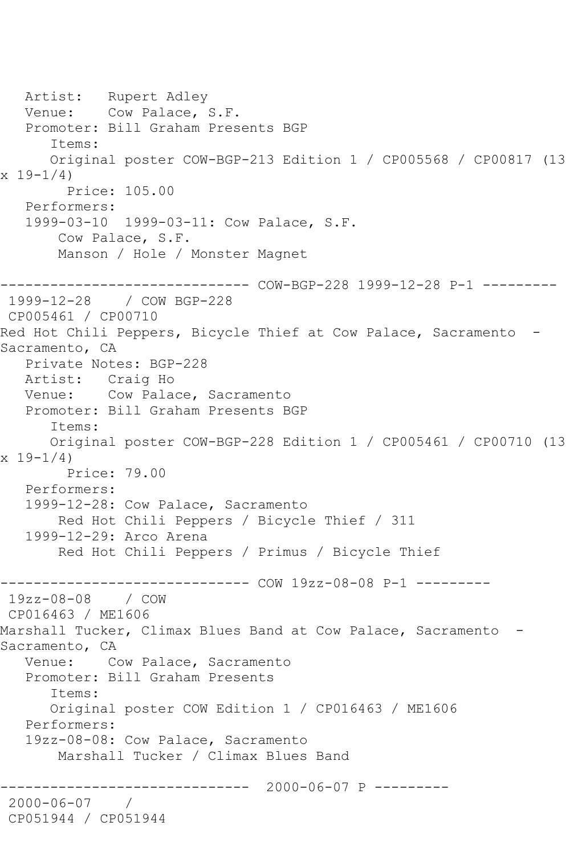Artist: Rupert Adley Venue: Cow Palace, S.F. Promoter: Bill Graham Presents BGP Items: Original poster COW-BGP-213 Edition 1 / CP005568 / CP00817 (13  $x 19 - 1/4$  Price: 105.00 Performers: 1999-03-10 1999-03-11: Cow Palace, S.F. Cow Palace, S.F. Manson / Hole / Monster Magnet ------------------------------ COW-BGP-228 1999-12-28 P-1 --------- 1999-12-28 / COW BGP-228 CP005461 / CP00710 Red Hot Chili Peppers, Bicycle Thief at Cow Palace, Sacramento - Sacramento, CA Private Notes: BGP-228 Artist: Craig Ho Venue: Cow Palace, Sacramento Promoter: Bill Graham Presents BGP Items: Original poster COW-BGP-228 Edition 1 / CP005461 / CP00710 (13 x 19-1/4) Price: 79.00 Performers: 1999-12-28: Cow Palace, Sacramento Red Hot Chili Peppers / Bicycle Thief / 311 1999-12-29: Arco Arena Red Hot Chili Peppers / Primus / Bicycle Thief ------------- COW 19zz-08-08 P-1 ---------19zz-08-08 / COW CP016463 / ME1606 Marshall Tucker, Climax Blues Band at Cow Palace, Sacramento - Sacramento, CA Venue: Cow Palace, Sacramento Promoter: Bill Graham Presents Items: Original poster COW Edition 1 / CP016463 / ME1606 Performers: 19zz-08-08: Cow Palace, Sacramento Marshall Tucker / Climax Blues Band ------------------------------ 2000-06-07 P --------- 2000-06-07 / CP051944 / CP051944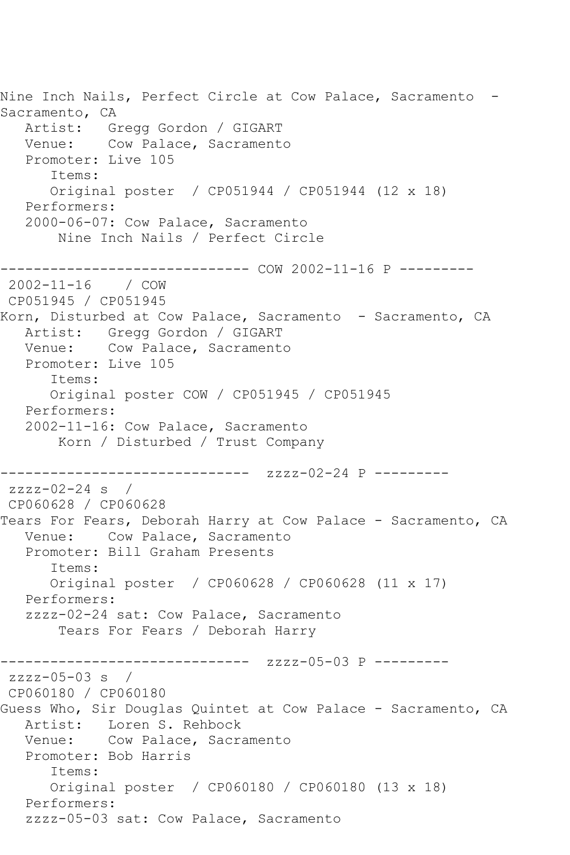Nine Inch Nails, Perfect Circle at Cow Palace, Sacramento - Sacramento, CA Artist: Gregg Gordon / GIGART Venue: Cow Palace, Sacramento Promoter: Live 105 Items: Original poster / CP051944 / CP051944 (12 x 18) Performers: 2000-06-07: Cow Palace, Sacramento Nine Inch Nails / Perfect Circle ------------------------------ COW 2002-11-16 P --------- 2002-11-16 / COW CP051945 / CP051945 Korn, Disturbed at Cow Palace, Sacramento - Sacramento, CA Artist: Gregg Gordon / GIGART Venue: Cow Palace, Sacramento Promoter: Live 105 Items: Original poster COW / CP051945 / CP051945 Performers: 2002-11-16: Cow Palace, Sacramento Korn / Disturbed / Trust Company ------------------------------ zzzz-02-24 P -------- zzzz-02-24 s / CP060628 / CP060628 Tears For Fears, Deborah Harry at Cow Palace - Sacramento, CA Venue: Cow Palace, Sacramento Promoter: Bill Graham Presents Items: Original poster / CP060628 / CP060628 (11 x 17) Performers: zzzz-02-24 sat: Cow Palace, Sacramento Tears For Fears / Deborah Harry ------------------------------ zzzz-05-03 P -------- zzzz-05-03 s / CP060180 / CP060180 Guess Who, Sir Douglas Quintet at Cow Palace - Sacramento, CA Artist: Loren S. Rehbock Venue: Cow Palace, Sacramento Promoter: Bob Harris Items: Original poster / CP060180 / CP060180 (13 x 18) Performers: zzzz-05-03 sat: Cow Palace, Sacramento